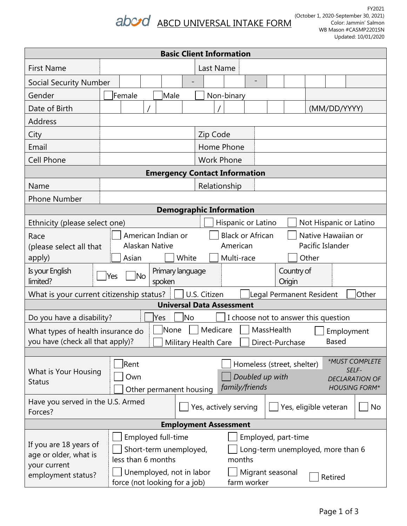# abord ABCD UNIVERSAL INTAKE FORM

| <b>Basic Client Information</b>                                                                                                                                                                             |                                                                                                                                                                                                     |  |  |  |  |  |  |  |
|-------------------------------------------------------------------------------------------------------------------------------------------------------------------------------------------------------------|-----------------------------------------------------------------------------------------------------------------------------------------------------------------------------------------------------|--|--|--|--|--|--|--|
| <b>First Name</b>                                                                                                                                                                                           | Last Name                                                                                                                                                                                           |  |  |  |  |  |  |  |
| <b>Social Security Number</b>                                                                                                                                                                               |                                                                                                                                                                                                     |  |  |  |  |  |  |  |
| Gender                                                                                                                                                                                                      | Female<br><b>Male</b><br>Non-binary                                                                                                                                                                 |  |  |  |  |  |  |  |
| Date of Birth                                                                                                                                                                                               | (MM/DD/YYYY)                                                                                                                                                                                        |  |  |  |  |  |  |  |
| Address                                                                                                                                                                                                     |                                                                                                                                                                                                     |  |  |  |  |  |  |  |
| City                                                                                                                                                                                                        | Zip Code                                                                                                                                                                                            |  |  |  |  |  |  |  |
| Email                                                                                                                                                                                                       | Home Phone                                                                                                                                                                                          |  |  |  |  |  |  |  |
| <b>Cell Phone</b>                                                                                                                                                                                           | <b>Work Phone</b>                                                                                                                                                                                   |  |  |  |  |  |  |  |
|                                                                                                                                                                                                             | <b>Emergency Contact Information</b>                                                                                                                                                                |  |  |  |  |  |  |  |
| Name                                                                                                                                                                                                        | Relationship                                                                                                                                                                                        |  |  |  |  |  |  |  |
| <b>Phone Number</b>                                                                                                                                                                                         |                                                                                                                                                                                                     |  |  |  |  |  |  |  |
| <b>Demographic Information</b>                                                                                                                                                                              |                                                                                                                                                                                                     |  |  |  |  |  |  |  |
| Ethnicity (please select one)                                                                                                                                                                               | Hispanic or Latino<br>Not Hispanic or Latino                                                                                                                                                        |  |  |  |  |  |  |  |
| <b>Black or African</b><br>Native Hawaiian or<br>American Indian or<br>Race<br>Alaskan Native<br>Pacific Islander<br>American<br>(please select all that<br>apply)<br>White<br>Multi-race<br>Other<br>Asian |                                                                                                                                                                                                     |  |  |  |  |  |  |  |
| Is your English<br>Country of<br>Primary language<br> No<br>Yes<br>limited?<br>spoken<br>Origin                                                                                                             |                                                                                                                                                                                                     |  |  |  |  |  |  |  |
| What is your current citizenship status?                                                                                                                                                                    | U.S. Citizen<br>Legal Permanent Resident<br>Other                                                                                                                                                   |  |  |  |  |  |  |  |
|                                                                                                                                                                                                             | <b>Universal Data Assessment</b>                                                                                                                                                                    |  |  |  |  |  |  |  |
| <b>No</b><br>Do you have a disability?<br>I choose not to answer this question<br>Yes                                                                                                                       |                                                                                                                                                                                                     |  |  |  |  |  |  |  |
| Medicare<br>None<br>MassHealth<br>What types of health insurance do<br>Employment<br>you have (check all that apply)?<br><b>Based</b><br>Military Health Care<br>Direct-Purchase                            |                                                                                                                                                                                                     |  |  |  |  |  |  |  |
| What is Your Housing<br><b>Status</b>                                                                                                                                                                       | *MUST COMPLETE<br>Rent<br>Homeless (street, shelter)<br>SELF-<br>Doubled up with<br>Own<br><b>DECLARATION OF</b><br>family/friends<br><b>HOUSING FORM*</b><br>Other permanent housing               |  |  |  |  |  |  |  |
| Have you served in the U.S. Armed<br>Yes, actively serving<br>Yes, eligible veteran<br>No<br>Forces?                                                                                                        |                                                                                                                                                                                                     |  |  |  |  |  |  |  |
| <b>Employment Assessment</b>                                                                                                                                                                                |                                                                                                                                                                                                     |  |  |  |  |  |  |  |
| If you are 18 years of<br>age or older, what is<br>your current<br>employment status?                                                                                                                       | Employed full-time<br>Employed, part-time<br>Short-term unemployed,<br>Long-term unemployed, more than 6<br>less than 6 months<br>months<br>Unemployed, not in labor<br>Migrant seasonal<br>Retired |  |  |  |  |  |  |  |
|                                                                                                                                                                                                             | farm worker<br>force (not looking for a job)                                                                                                                                                        |  |  |  |  |  |  |  |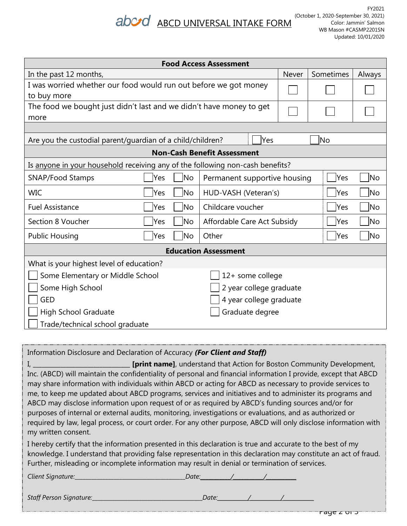## abord ABCD UNIVERSAL INTAKE FORM

| <b>Food Access Assessment</b>                                                 |                                          |                             |            |     |           |  |  |  |
|-------------------------------------------------------------------------------|------------------------------------------|-----------------------------|------------|-----|-----------|--|--|--|
| In the past 12 months,                                                        | Never                                    | Sometimes                   | Always     |     |           |  |  |  |
| I was worried whether our food would run out before we got money              |                                          |                             |            |     |           |  |  |  |
| to buy more                                                                   |                                          |                             |            |     |           |  |  |  |
| The food we bought just didn't last and we didn't have money to get           |                                          |                             |            |     |           |  |  |  |
| more                                                                          |                                          |                             |            |     |           |  |  |  |
|                                                                               |                                          |                             |            |     |           |  |  |  |
| Are you the custodial parent/guardian of a child/children?                    |                                          | lYes                        |            | lNo |           |  |  |  |
| <b>Non-Cash Benefit Assessment</b>                                            |                                          |                             |            |     |           |  |  |  |
| Is anyone in your household receiving any of the following non-cash benefits? |                                          |                             |            |     |           |  |  |  |
| <b>SNAP/Food Stamps</b>                                                       | Permanent supportive housing             | Yes                         | No         |     |           |  |  |  |
| <b>WIC</b>                                                                    | <b>No</b><br>HUD-VASH (Veteran's)<br>Yes |                             |            |     |           |  |  |  |
| <b>Fuel Assistance</b>                                                        | Childcare voucher<br>Yes<br><b>No</b>    |                             |            |     |           |  |  |  |
| Section 8 Voucher                                                             | <b>No</b><br>Yes                         | Affordable Care Act Subsidy |            | Yes | <b>No</b> |  |  |  |
| <b>Public Housing</b>                                                         | <b>No</b><br>Yes                         | Other                       | <b>Yes</b> | No. |           |  |  |  |
| <b>Education Assessment</b>                                                   |                                          |                             |            |     |           |  |  |  |
| What is your highest level of education?                                      |                                          |                             |            |     |           |  |  |  |
| Some Elementary or Middle School                                              | 12+ some college                         |                             |            |     |           |  |  |  |
| Some High School                                                              |                                          | 2 year college graduate     |            |     |           |  |  |  |
| GED                                                                           | 4 year college graduate                  |                             |            |     |           |  |  |  |
| Graduate degree<br>High School Graduate                                       |                                          |                             |            |     |           |  |  |  |
| Trade/technical school graduate                                               |                                          |                             |            |     |           |  |  |  |

| Information Disclosure and Declaration of Accuracy (For Client and Staff)                                                                                                                                                                                                                                                                                                                                                                                                                                                                                                                                                                                                                          |  |  |  |  |  |  |  |
|----------------------------------------------------------------------------------------------------------------------------------------------------------------------------------------------------------------------------------------------------------------------------------------------------------------------------------------------------------------------------------------------------------------------------------------------------------------------------------------------------------------------------------------------------------------------------------------------------------------------------------------------------------------------------------------------------|--|--|--|--|--|--|--|
| Inc. (ABCD) will maintain the confidentiality of personal and financial information I provide, except that ABCD<br>may share information with individuals within ABCD or acting for ABCD as necessary to provide services to<br>me, to keep me updated about ABCD programs, services and initiatives and to administer its programs and<br>ABCD may disclose information upon request of or as required by ABCD's funding sources and/or for<br>purposes of internal or external audits, monitoring, investigations or evaluations, and as authorized or<br>required by law, legal process, or court order. For any other purpose, ABCD will only disclose information with<br>my written consent. |  |  |  |  |  |  |  |
| I hereby certify that the information presented in this declaration is true and accurate to the best of my<br>knowledge. I understand that providing false representation in this declaration may constitute an act of fraud.<br>Further, misleading or incomplete information may result in denial or termination of services.                                                                                                                                                                                                                                                                                                                                                                    |  |  |  |  |  |  |  |
|                                                                                                                                                                                                                                                                                                                                                                                                                                                                                                                                                                                                                                                                                                    |  |  |  |  |  |  |  |
|                                                                                                                                                                                                                                                                                                                                                                                                                                                                                                                                                                                                                                                                                                    |  |  |  |  |  |  |  |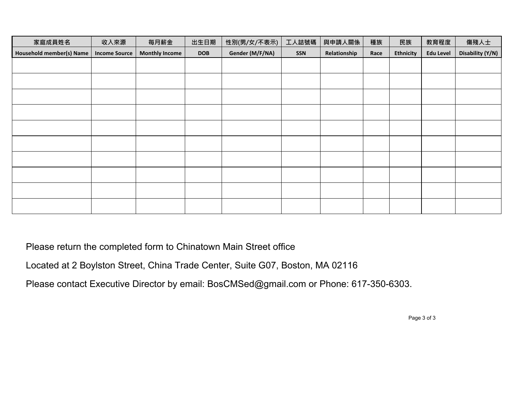| 家庭成員姓名                          | 收入來源                 | 每月薪金                  | 出生日期       | 性別(男/女/不表示)     | 工人詰號碼 | 與申請人關係       | 種族   | 民族               | 教育程度             | 傷殘人士             |
|---------------------------------|----------------------|-----------------------|------------|-----------------|-------|--------------|------|------------------|------------------|------------------|
| <b>Household member(s) Name</b> | <b>Income Source</b> | <b>Monthly Income</b> | <b>DOB</b> | Gender (M/F/NA) | SSN   | Relationship | Race | <b>Ethnicity</b> | <b>Edu Level</b> | Disability (Y/N) |
|                                 |                      |                       |            |                 |       |              |      |                  |                  |                  |
|                                 |                      |                       |            |                 |       |              |      |                  |                  |                  |
|                                 |                      |                       |            |                 |       |              |      |                  |                  |                  |
|                                 |                      |                       |            |                 |       |              |      |                  |                  |                  |
|                                 |                      |                       |            |                 |       |              |      |                  |                  |                  |
|                                 |                      |                       |            |                 |       |              |      |                  |                  |                  |
|                                 |                      |                       |            |                 |       |              |      |                  |                  |                  |
|                                 |                      |                       |            |                 |       |              |      |                  |                  |                  |
|                                 |                      |                       |            |                 |       |              |      |                  |                  |                  |
|                                 |                      |                       |            |                 |       |              |      |                  |                  |                  |

Please return the completed form to Chinatown Main Street office

Located at 2 Boylston Street, China Trade Center, Suite G07, Boston, MA 02116

Please contact Executive Director by email: BosCMSed@gmail.com or Phone: 617-350-6303.

Page 3 of 3